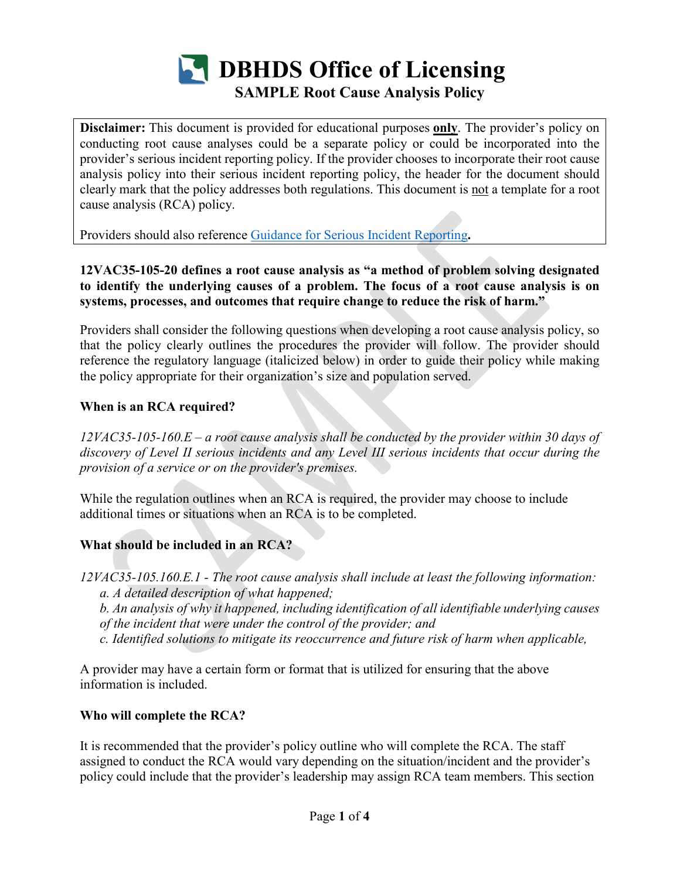

**Disclaimer:** This document is provided for educational purposes **only**. The provider's policy on conducting root cause analyses could be a separate policy or could be incorporated into the provider's serious incident reporting policy. If the provider chooses to incorporate their root cause analysis policy into their serious incident reporting policy, the header for the document should clearly mark that the policy addresses both regulations. This document is not a template for a root cause analysis (RCA) policy.

Providers should also reference [Guidance for Serious Incident Reporting](https://www.townhall.virginia.gov/L/ViewGDoc.cfm?gdid=6415)**.**

**12VAC35-105-20 defines a root cause analysis as "a method of problem solving designated to identify the underlying causes of a problem. The focus of a root cause analysis is on systems, processes, and outcomes that require change to reduce the risk of harm."**

Providers shall consider the following questions when developing a root cause analysis policy, so that the policy clearly outlines the procedures the provider will follow. The provider should reference the regulatory language (italicized below) in order to guide their policy while making the policy appropriate for their organization's size and population served.

### **When is an RCA required?**

*12VAC35-105-160.E – a root cause analysis shall be conducted by the provider within 30 days of discovery of Level II serious incidents and any Level III serious incidents that occur during the provision of a service or on the provider's premises.*

While the regulation outlines when an RCA is required, the provider may choose to include additional times or situations when an RCA is to be completed.

## **What should be included in an RCA?**

*12VAC35-105.160.E.1 - The root cause analysis shall include at least the following information: a. A detailed description of what happened;*

*b. An analysis of why it happened, including identification of all identifiable underlying causes of the incident that were under the control of the provider; and* 

*c. Identified solutions to mitigate its reoccurrence and future risk of harm when applicable,*

A provider may have a certain form or format that is utilized for ensuring that the above information is included.

#### **Who will complete the RCA?**

It is recommended that the provider's policy outline who will complete the RCA. The staff assigned to conduct the RCA would vary depending on the situation/incident and the provider's policy could include that the provider's leadership may assign RCA team members. This section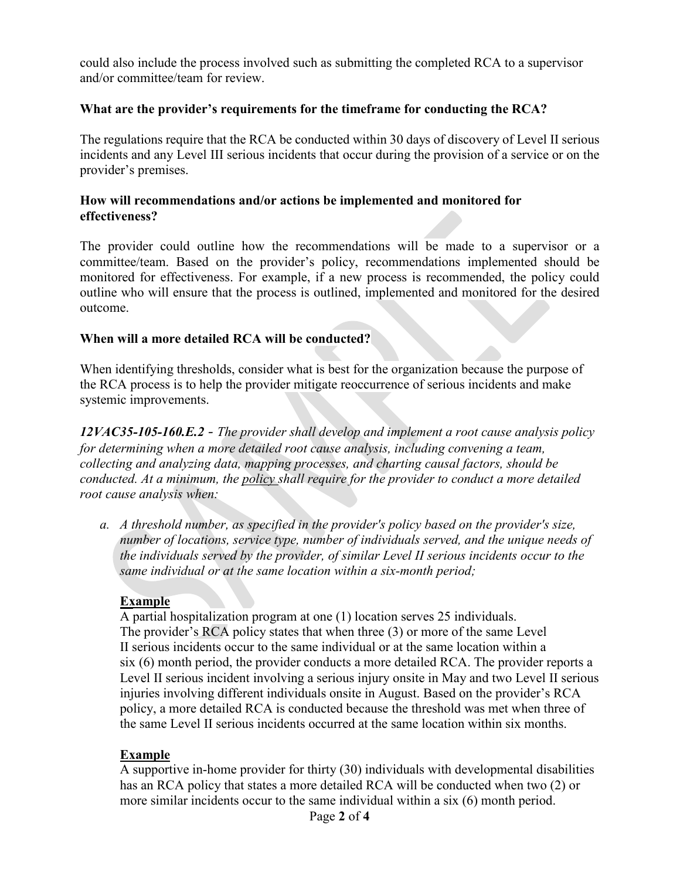could also include the process involved such as submitting the completed RCA to a supervisor and/or committee/team for review.

#### **What are the provider's requirements for the timeframe for conducting the RCA?**

The regulations require that the RCA be conducted within 30 days of discovery of Level II serious incidents and any Level III serious incidents that occur during the provision of a service or on the provider's premises.

#### **How will recommendations and/or actions be implemented and monitored for effectiveness?**

The provider could outline how the recommendations will be made to a supervisor or a committee/team. Based on the provider's policy, recommendations implemented should be monitored for effectiveness. For example, if a new process is recommended, the policy could outline who will ensure that the process is outlined, implemented and monitored for the desired outcome.

#### **When will a more detailed RCA will be conducted?**

When identifying thresholds, consider what is best for the organization because the purpose of the RCA process is to help the provider mitigate reoccurrence of serious incidents and make systemic improvements.

*12VAC35-105-160.E.2 - The provider shall develop and implement a root cause analysis policy for determining when a more detailed root cause analysis, including convening a team, collecting and analyzing data, mapping processes, and charting causal factors, should be conducted. At a minimum, the policy shall require for the provider to conduct a more detailed root cause analysis when:* 

*a. A threshold number, as specified in the provider's policy based on the provider's size, number of locations, service type, number of individuals served, and the unique needs of the individuals served by the provider, of similar Level II serious incidents occur to the same individual or at the same location within a six-month period;*

#### **Example**

A partial hospitalization program at one (1) location serves 25 individuals. The provider's RCA policy states that when three (3) or more of the same Level II serious incidents occur to the same individual or at the same location within a six (6) month period, the provider conducts a more detailed RCA. The provider reports a Level II serious incident involving a serious injury onsite in May and two Level II serious injuries involving different individuals onsite in August. Based on the provider's RCA policy, a more detailed RCA is conducted because the threshold was met when three of the same Level II serious incidents occurred at the same location within six months.

#### **Example**

A supportive in-home provider for thirty (30) individuals with developmental disabilities has an RCA policy that states a more detailed RCA will be conducted when two (2) or more similar incidents occur to the same individual within a six (6) month period.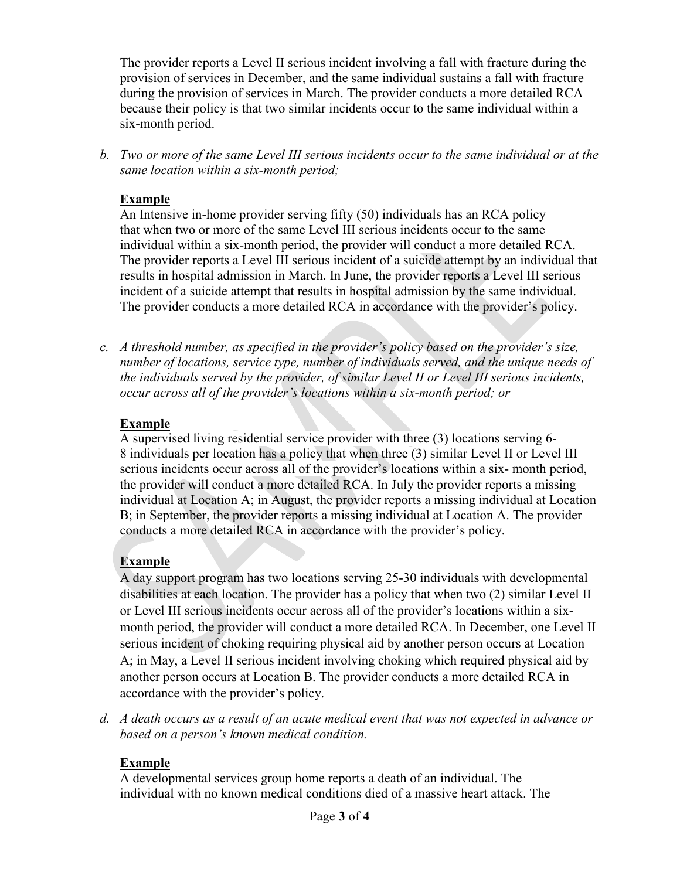The provider reports a Level II serious incident involving a fall with fracture during the provision of services in December, and the same individual sustains a fall with fracture during the provision of services in March. The provider conducts a more detailed RCA because their policy is that two similar incidents occur to the same individual within a six-month period.

*b. Two or more of the same Level III serious incidents occur to the same individual or at the same location within a six-month period;*

### **Example**

An Intensive in-home provider serving fifty (50) individuals has an RCA policy that when two or more of the same Level III serious incidents occur to the same individual within a six-month period, the provider will conduct a more detailed RCA. The provider reports a Level III serious incident of a suicide attempt by an individual that results in hospital admission in March. In June, the provider reports a Level III serious incident of a suicide attempt that results in hospital admission by the same individual. The provider conducts a more detailed RCA in accordance with the provider's policy.

*c. A threshold number, as specified in the provider's policy based on the provider's size, number of locations, service type, number of individuals served, and the unique needs of the individuals served by the provider, of similar Level II or Level III serious incidents, occur across all of the provider's locations within a six-month period; or*

### **Example**

A supervised living residential service provider with three (3) locations serving 6- 8 individuals per location has a policy that when three (3) similar Level II or Level III serious incidents occur across all of the provider's locations within a six- month period, the provider will conduct a more detailed RCA. In July the provider reports a missing individual at Location A; in August, the provider reports a missing individual at Location B; in September, the provider reports a missing individual at Location A. The provider conducts a more detailed RCA in accordance with the provider's policy.

## **Example**

A day support program has two locations serving 25-30 individuals with developmental disabilities at each location. The provider has a policy that when two (2) similar Level II or Level III serious incidents occur across all of the provider's locations within a sixmonth period, the provider will conduct a more detailed RCA. In December, one Level II serious incident of choking requiring physical aid by another person occurs at Location A; in May, a Level II serious incident involving choking which required physical aid by another person occurs at Location B. The provider conducts a more detailed RCA in accordance with the provider's policy.

*d. A death occurs as a result of an acute medical event that was not expected in advance or based on a person's known medical condition.*

## **Example**

A developmental services group home reports a death of an individual. The individual with no known medical conditions died of a massive heart attack. The